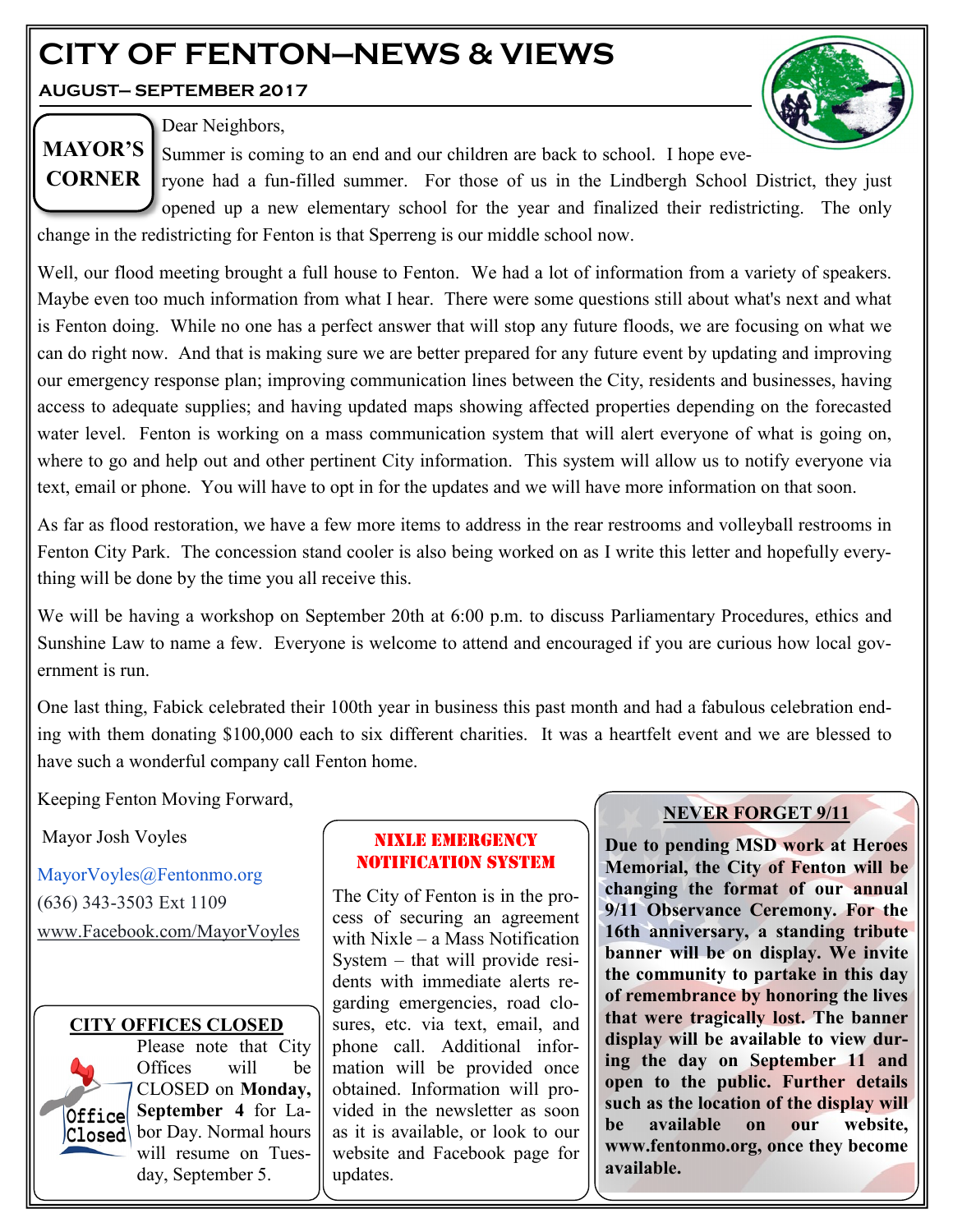# **CITY OF FENTON—NEWS & VIEWS**

**AUGUST— SEPTEMBER 2017**



**MAYOR'S CORNER** Dear Neighbors,

Summer is coming to an end and our children are back to school. I hope eve-

ryone had a fun-filled summer. For those of us in the Lindbergh School District, they just opened up a new elementary school for the year and finalized their redistricting. The only change in the redistricting for Fenton is that Sperreng is our middle school now.

Well, our flood meeting brought a full house to Fenton. We had a lot of information from a variety of speakers. Maybe even too much information from what I hear. There were some questions still about what's next and what is Fenton doing. While no one has a perfect answer that will stop any future floods, we are focusing on what we can do right now. And that is making sure we are better prepared for any future event by updating and improving our emergency response plan; improving communication lines between the City, residents and businesses, having access to adequate supplies; and having updated maps showing affected properties depending on the forecasted water level. Fenton is working on a mass communication system that will alert everyone of what is going on, where to go and help out and other pertinent City information. This system will allow us to notify everyone via text, email or phone. You will have to opt in for the updates and we will have more information on that soon.

As far as flood restoration, we have a few more items to address in the rear restrooms and volleyball restrooms in Fenton City Park. The concession stand cooler is also being worked on as I write this letter and hopefully everything will be done by the time you all receive this.

We will be having a workshop on September 20th at 6:00 p.m. to discuss Parliamentary Procedures, ethics and Sunshine Law to name a few. Everyone is welcome to attend and encouraged if you are curious how local government is run.

One last thing, Fabick celebrated their 100th year in business this past month and had a fabulous celebration ending with them donating \$100,000 each to six different charities. It was a heartfelt event and we are blessed to have such a wonderful company call Fenton home.

Keeping Fenton Moving Forward,

Mayor Josh Voyles

MayorVoyles@Fentonmo.org (636) 343-3503 Ext 1109 www.Facebook.com/MayorVoyles

#### **CITY OFFICES CLOSED**



Please note that City Offices will be CLOSED on **Monday, Office** September 4 for Labor Day. Normal hours will resume on Tuesday, September 5.

#### NIXLE EMERGENCY NOTIFICATION SYSTEM

The City of Fenton is in the process of securing an agreement with Nixle – a Mass Notification System – that will provide residents with immediate alerts regarding emergencies, road closures, etc. via text, email, and phone call. Additional information will be provided once obtained. Information will provided in the newsletter as soon as it is available, or look to our website and Facebook page for updates.

### **NEVER FORGET 9/11**

**Due to pending MSD work at Heroes Memorial, the City of Fenton will be changing the format of our annual 9/11 Observance Ceremony. For the 16th anniversary, a standing tribute banner will be on display. We invite the community to partake in this day of remembrance by honoring the lives that were tragically lost. The banner display will be available to view during the day on September 11 and open to the public. Further details such as the location of the display will be available on our website, www.fentonmo.org, once they become available.**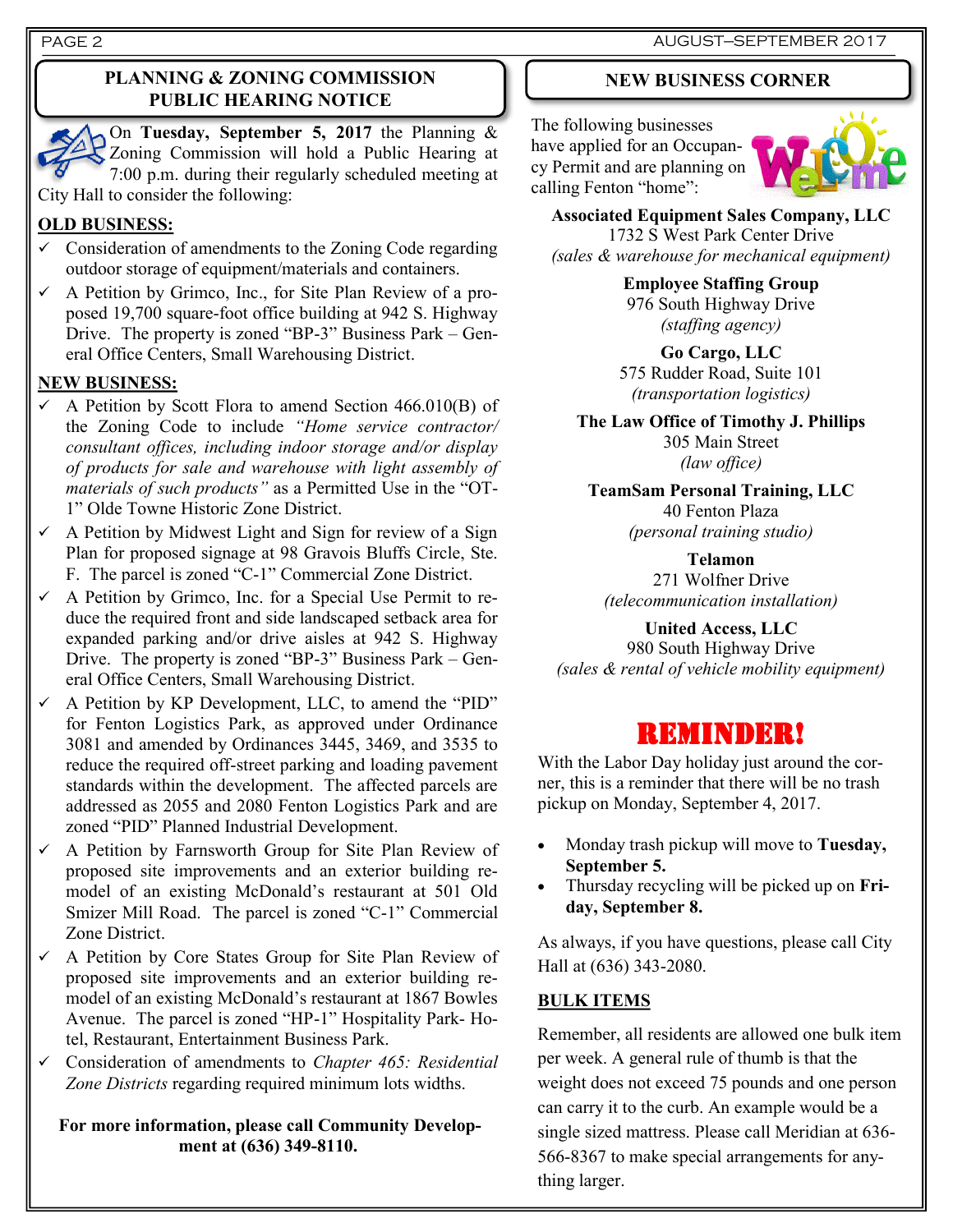### **PLANNING & ZONING COMMISSION PUBLIC HEARING NOTICE**

On **Tuesday, September 5, 2017** the Planning & Zoning Commission will hold a Public Hearing at 7:00 p.m. during their regularly scheduled meeting at City Hall to consider the following:

### **OLD BUSINESS:**

- $\checkmark$  Consideration of amendments to the Zoning Code regarding outdoor storage of equipment/materials and containers.
- A Petition by Grimco, Inc., for Site Plan Review of a proposed 19,700 square-foot office building at 942 S. Highway Drive. The property is zoned "BP-3" Business Park – General Office Centers, Small Warehousing District.

### **NEW BUSINESS:**

- A Petition by Scott Flora to amend Section 466.010(B) of the Zoning Code to include *"Home service contractor/ consultant offices, including indoor storage and/or display of products for sale and warehouse with light assembly of materials of such products"* as a Permitted Use in the "OT-1" Olde Towne Historic Zone District.
- $\checkmark$  A Petition by Midwest Light and Sign for review of a Sign Plan for proposed signage at 98 Gravois Bluffs Circle, Ste. F. The parcel is zoned "C-1" Commercial Zone District.
- $\checkmark$  A Petition by Grimco, Inc. for a Special Use Permit to reduce the required front and side landscaped setback area for expanded parking and/or drive aisles at 942 S. Highway Drive. The property is zoned "BP-3" Business Park – General Office Centers, Small Warehousing District.
- A Petition by KP Development, LLC, to amend the "PID" for Fenton Logistics Park, as approved under Ordinance 3081 and amended by Ordinances 3445, 3469, and 3535 to reduce the required off-street parking and loading pavement standards within the development. The affected parcels are addressed as 2055 and 2080 Fenton Logistics Park and are zoned "PID" Planned Industrial Development.
- A Petition by Farnsworth Group for Site Plan Review of proposed site improvements and an exterior building remodel of an existing McDonald's restaurant at 501 Old Smizer Mill Road. The parcel is zoned "C-1" Commercial Zone District.
- ✓ A Petition by Core States Group for Site Plan Review of proposed site improvements and an exterior building remodel of an existing McDonald's restaurant at 1867 Bowles Avenue. The parcel is zoned "HP-1" Hospitality Park- Hotel, Restaurant, Entertainment Business Park.
- ✓ Consideration of amendments to *Chapter 465: Residential Zone Districts* regarding required minimum lots widths.

### **For more information, please call Community Development at (636) 349-8110.**

## **NEW BUSINESS CORNER**

The following businesses have applied for an Occupancy Permit and are planning on calling Fenton "home":



**Associated Equipment Sales Company, LLC** 1732 S West Park Center Drive

*(sales & warehouse for mechanical equipment)*

**Employee Staffing Group** 976 South Highway Drive *(staffing agency)*

**Go Cargo, LLC** 575 Rudder Road, Suite 101 *(transportation logistics)*

**The Law Office of Timothy J. Phillips** 305 Main Street *(law office)*

**TeamSam Personal Training, LLC** 40 Fenton Plaza *(personal training studio)*

**Telamon** 271 Wolfner Drive *(telecommunication installation)*

**United Access, LLC** 980 South Highway Drive *(sales & rental of vehicle mobility equipment)*

# REMINDER!

With the Labor Day holiday just around the corner, this is a reminder that there will be no trash pickup on Monday, September 4, 2017.

- Monday trash pickup will move to **Tuesday, September 5.**
- Thursday recycling will be picked up on **Friday, September 8.**

As always, if you have questions, please call City Hall at (636) 343-2080.

### **BULK ITEMS**

Remember, all residents are allowed one bulk item per week. A general rule of thumb is that the weight does not exceed 75 pounds and one person can carry it to the curb. An example would be a single sized mattress. Please call Meridian at 636- 566-8367 to make special arrangements for anything larger.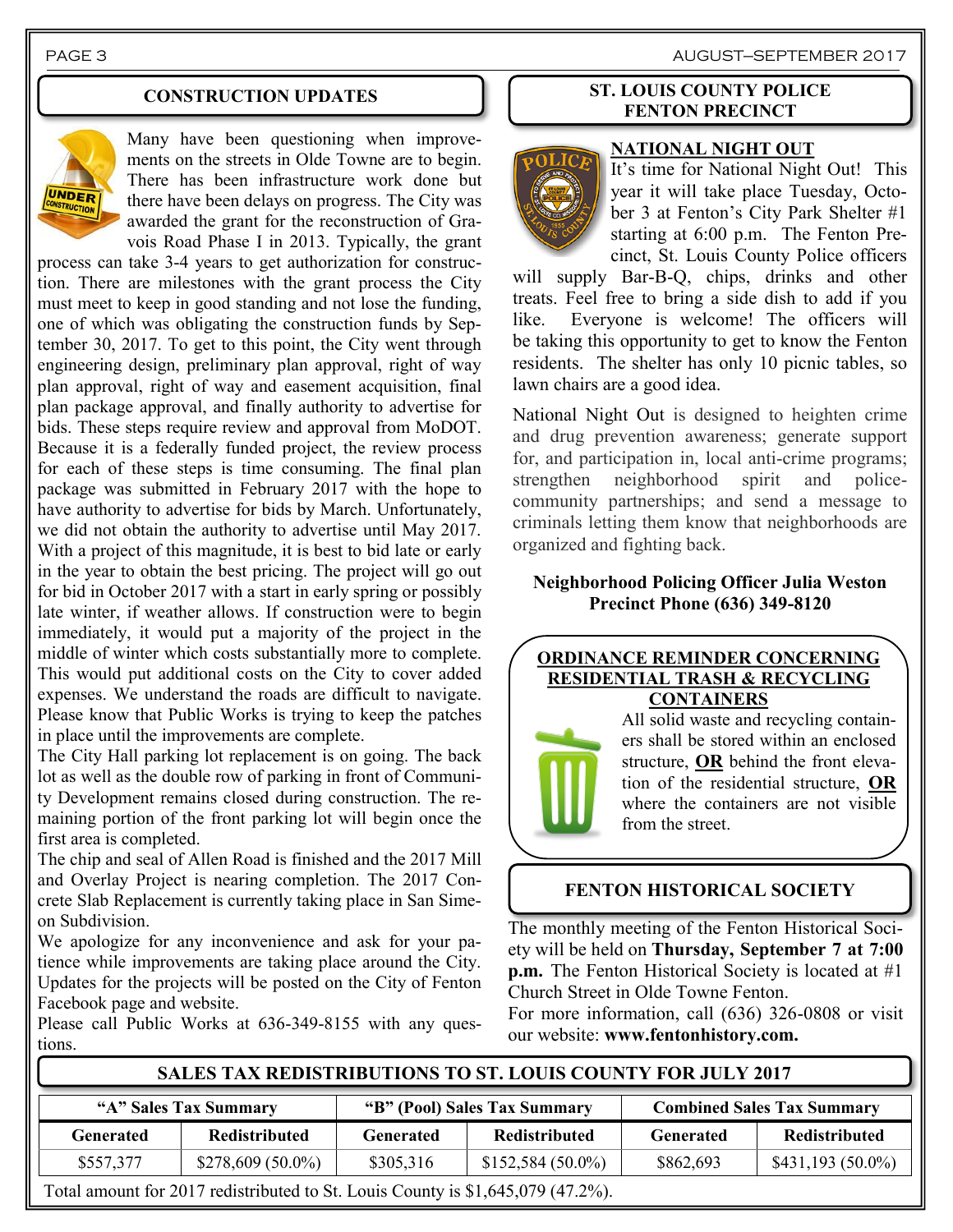#### **CONSTRUCTION UPDATES**



Many have been questioning when improvements on the streets in Olde Towne are to begin. There has been infrastructure work done but there have been delays on progress. The City was awarded the grant for the reconstruction of Gravois Road Phase I in 2013. Typically, the grant

process can take 3-4 years to get authorization for construction. There are milestones with the grant process the City must meet to keep in good standing and not lose the funding, one of which was obligating the construction funds by September 30, 2017. To get to this point, the City went through engineering design, preliminary plan approval, right of way plan approval, right of way and easement acquisition, final plan package approval, and finally authority to advertise for bids. These steps require review and approval from MoDOT. Because it is a federally funded project, the review process for each of these steps is time consuming. The final plan package was submitted in February 2017 with the hope to have authority to advertise for bids by March. Unfortunately, we did not obtain the authority to advertise until May 2017. With a project of this magnitude, it is best to bid late or early in the year to obtain the best pricing. The project will go out for bid in October 2017 with a start in early spring or possibly late winter, if weather allows. If construction were to begin immediately, it would put a majority of the project in the middle of winter which costs substantially more to complete. This would put additional costs on the City to cover added expenses. We understand the roads are difficult to navigate. Please know that Public Works is trying to keep the patches in place until the improvements are complete.

The City Hall parking lot replacement is on going. The back lot as well as the double row of parking in front of Community Development remains closed during construction. The remaining portion of the front parking lot will begin once the first area is completed.

The chip and seal of Allen Road is finished and the 2017 Mill and Overlay Project is nearing completion. The 2017 Concrete Slab Replacement is currently taking place in San Simeon Subdivision.

We apologize for any inconvenience and ask for your patience while improvements are taking place around the City. Updates for the projects will be posted on the City of Fenton Facebook page and website.

Please call Public Works at 636-349-8155 with any questions.

#### **ST. LOUIS COUNTY POLICE FENTON PRECINCT**

#### **NATIONAL NIGHT OUT**



It's time for National Night Out! This year it will take place Tuesday, October 3 at Fenton's City Park Shelter #1 starting at 6:00 p.m. The Fenton Precinct, St. Louis County Police officers

will supply Bar-B-Q, chips, drinks and other treats. Feel free to bring a side dish to add if you like. Everyone is welcome! The officers will be taking this opportunity to get to know the Fenton residents. The shelter has only 10 picnic tables, so lawn chairs are a good idea.

National Night Out is designed to heighten crime and drug prevention awareness; generate support for, and participation in, local anti-crime programs; strengthen neighborhood spirit and policecommunity partnerships; and send a message to criminals letting them know that neighborhoods are organized and fighting back.

#### **Neighborhood Policing Officer Julia Weston Precinct Phone (636) 349-8120**

#### **ORDINANCE REMINDER CONCERNING RESIDENTIAL TRASH & RECYCLING CONTAINERS**

All solid waste and recycling containers shall be stored within an enclosed structure, **OR** behind the front elevation of the residential structure, **OR** where the containers are not visible from the street.

#### **FENTON HISTORICAL SOCIETY**

The monthly meeting of the Fenton Historical Society will be held on **Thursday, September 7 at 7:00 p.m.** The Fenton Historical Society is located at #1 Church Street in Olde Towne Fenton.

For more information, call (636) 326-0808 or visit our website: **www.fentonhistory.com.**

#### **SALES TAX REDISTRIBUTIONS TO ST. LOUIS COUNTY FOR JULY 2017**

| "A" Sales Tax Summary                                                           |                      | "B" (Pool) Sales Tax Summary |                      | <b>Combined Sales Tax Summary</b> |                      |  |
|---------------------------------------------------------------------------------|----------------------|------------------------------|----------------------|-----------------------------------|----------------------|--|
| Generated                                                                       | <b>Redistributed</b> | Generated                    | <b>Redistributed</b> | Generated                         | <b>Redistributed</b> |  |
| \$557,377                                                                       | $$278,609 (50.0\%)$  | \$305,316                    | $$152,584(50.0\%)$   | \$862,693                         | $$431,193(50.0\%)$   |  |
| Total amount for 2017 redistributed to St. Louis County is \$1,645,079 (47.2%). |                      |                              |                      |                                   |                      |  |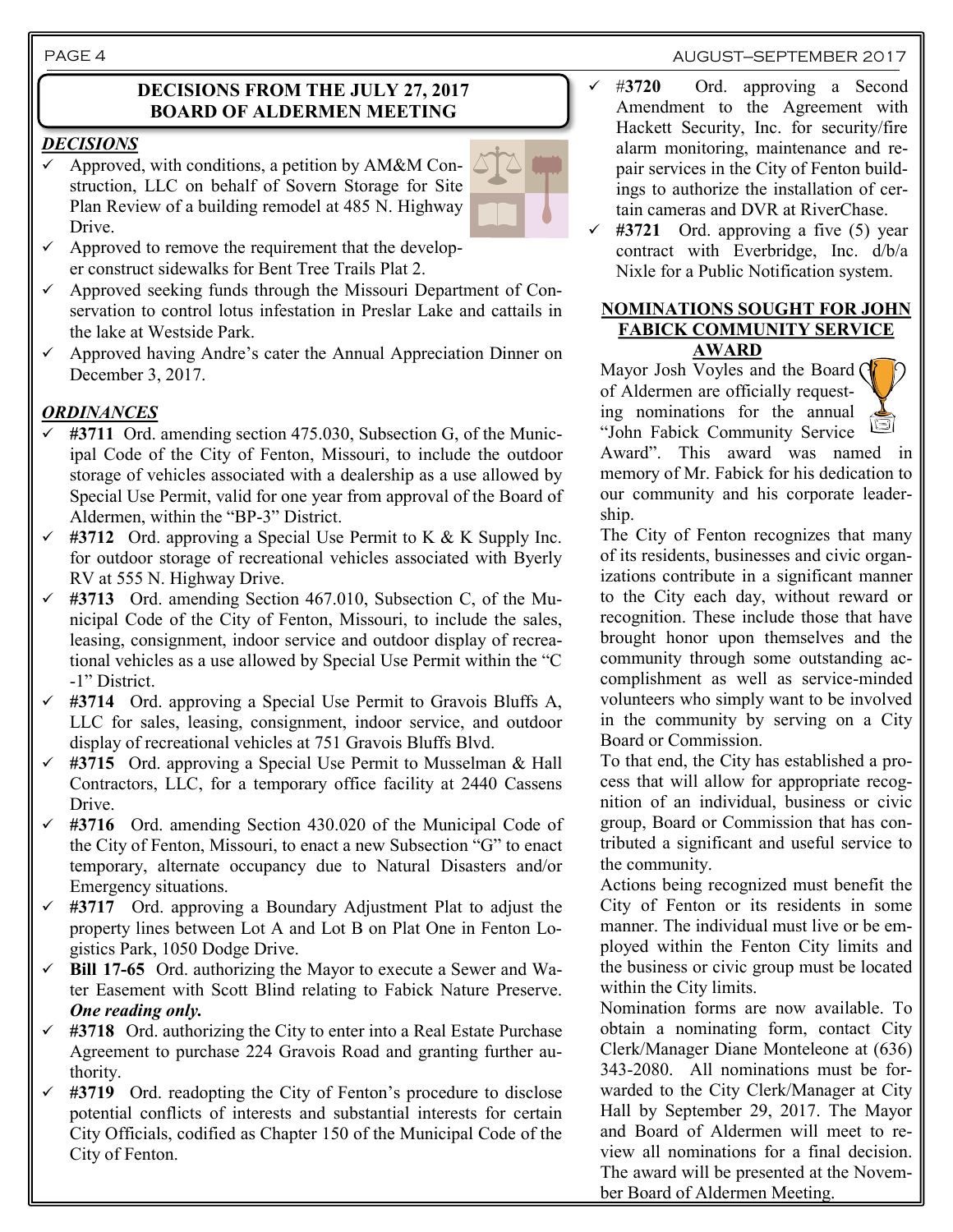### PAGE 4 AUGUST-SEPTEMBER 2017

#### **DECISIONS FROM THE JULY 27, 2017 BOARD OF ALDERMEN MEETING**

#### *DECISIONS*

- $\checkmark$  Approved, with conditions, a petition by AM&M Construction, LLC on behalf of Sovern Storage for Site Plan Review of a building remodel at 485 N. Highway Drive.
	- Approved to remove the requirement that the developer construct sidewalks for Bent Tree Trails Plat 2.
- $\checkmark$  Approved seeking funds through the Missouri Department of Conservation to control lotus infestation in Preslar Lake and cattails in the lake at Westside Park.
- ✓ Approved having Andre's cater the Annual Appreciation Dinner on December 3, 2017.

#### *ORDINANCES*

- #3711 Ord. amending section 475.030, Subsection G, of the Municipal Code of the City of Fenton, Missouri, to include the outdoor storage of vehicles associated with a dealership as a use allowed by Special Use Permit, valid for one year from approval of the Board of Aldermen, within the "BP-3" District.
- $\checkmark$  #3712 Ord. approving a Special Use Permit to K & K Supply Inc. for outdoor storage of recreational vehicles associated with Byerly RV at 555 N. Highway Drive.
- ✓ **#3713** Ord. amending Section 467.010, Subsection C, of the Municipal Code of the City of Fenton, Missouri, to include the sales, leasing, consignment, indoor service and outdoor display of recreational vehicles as a use allowed by Special Use Permit within the "C -1" District.
- ✓ **#3714** Ord. approving a Special Use Permit to Gravois Bluffs A, LLC for sales, leasing, consignment, indoor service, and outdoor display of recreational vehicles at 751 Gravois Bluffs Blvd.
- ✓ **#3715** Ord. approving a Special Use Permit to Musselman & Hall Contractors, LLC, for a temporary office facility at 2440 Cassens Drive.
- ✓ **#3716** Ord. amending Section 430.020 of the Municipal Code of the City of Fenton, Missouri, to enact a new Subsection "G" to enact temporary, alternate occupancy due to Natural Disasters and/or Emergency situations.
- ✓ **#3717** Ord. approving a Boundary Adjustment Plat to adjust the property lines between Lot A and Lot B on Plat One in Fenton Logistics Park, 1050 Dodge Drive.
- **Bill 17-65** Ord. authorizing the Mayor to execute a Sewer and Water Easement with Scott Blind relating to Fabick Nature Preserve. *One reading only.*
- #3718 Ord. authorizing the City to enter into a Real Estate Purchase Agreement to purchase 224 Gravois Road and granting further authority.
- ✓ **#3719** Ord. readopting the City of Fenton's procedure to disclose potential conflicts of interests and substantial interests for certain City Officials, codified as Chapter 150 of the Municipal Code of the City of Fenton.



- ✓ #**3720** Ord. approving a Second Amendment to the Agreement with Hackett Security, Inc. for security/fire alarm monitoring, maintenance and repair services in the City of Fenton buildings to authorize the installation of certain cameras and DVR at RiverChase.
- #3721 Ord. approving a five (5) year contract with Everbridge, Inc. d/b/a Nixle for a Public Notification system.

#### **NOMINATIONS SOUGHT FOR JOHN FABICK COMMUNITY SERVICE AWARD**

Mayor Josh Voyles and the Board C of Aldermen are officially requesting nominations for the annual "John Fabick Community Service

Award". This award was named in memory of Mr. Fabick for his dedication to our community and his corporate leadership.

The City of Fenton recognizes that many of its residents, businesses and civic organizations contribute in a significant manner to the City each day, without reward or recognition. These include those that have brought honor upon themselves and the community through some outstanding accomplishment as well as service-minded volunteers who simply want to be involved in the community by serving on a City Board or Commission.

To that end, the City has established a process that will allow for appropriate recognition of an individual, business or civic group, Board or Commission that has contributed a significant and useful service to the community.

Actions being recognized must benefit the City of Fenton or its residents in some manner. The individual must live or be employed within the Fenton City limits and the business or civic group must be located within the City limits.

Nomination forms are now available. To obtain a nominating form, contact City Clerk/Manager Diane Monteleone at (636) 343-2080. All nominations must be forwarded to the City Clerk/Manager at City Hall by September 29, 2017. The Mayor and Board of Aldermen will meet to review all nominations for a final decision. The award will be presented at the November Board of Aldermen Meeting.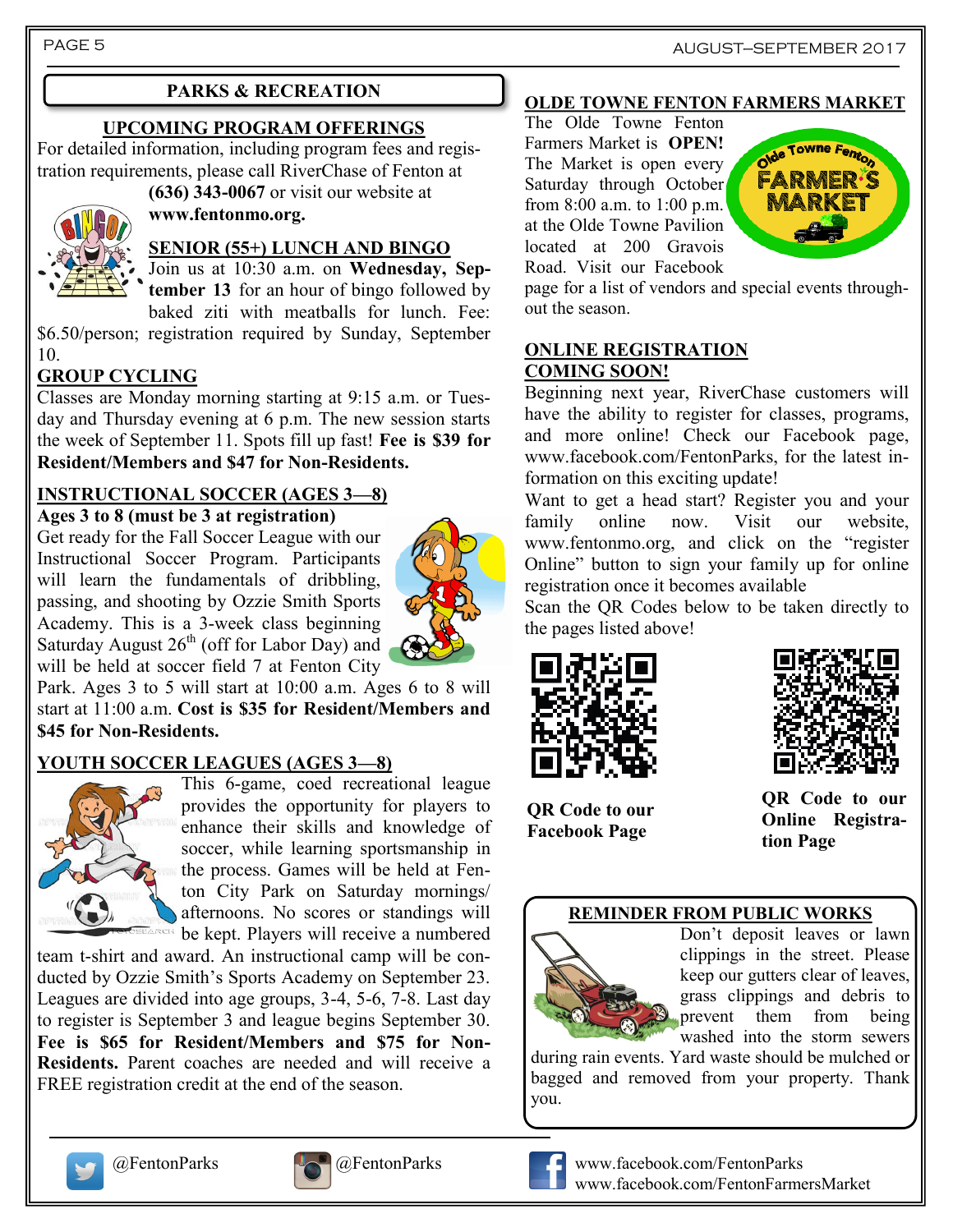### **UPCOMING PROGRAM OFFERINGS**

For detailed information, including program fees and registration requirements, please call RiverChase of Fenton at

**(636) 343-0067** or visit our website at



### **www.fentonmo.org.**

### **SENIOR (55+) LUNCH AND BINGO**

Join us at 10:30 a.m. on **Wednesday, September 13** for an hour of bingo followed by baked ziti with meatballs for lunch. Fee:

\$6.50/person; registration required by Sunday, September 10.

### **GROUP CYCLING**

Classes are Monday morning starting at 9:15 a.m. or Tuesday and Thursday evening at 6 p.m. The new session starts the week of September 11. Spots fill up fast! **Fee is \$39 for Resident/Members and \$47 for Non-Residents.**

#### **INSTRUCTIONAL SOCCER (AGES 3—8) Ages 3 to 8 (must be 3 at registration)**

Get ready for the Fall Soccer League with our Instructional Soccer Program. Participants will learn the fundamentals of dribbling, passing, and shooting by Ozzie Smith Sports Academy. This is a 3-week class beginning Saturday August  $26<sup>th</sup>$  (off for Labor Day) and will be held at soccer field 7 at Fenton City



Park. Ages 3 to 5 will start at 10:00 a.m. Ages 6 to 8 will start at 11:00 a.m. **Cost is \$35 for Resident/Members and \$45 for Non-Residents.**

### **YOUTH SOCCER LEAGUES (AGES 3—8)**



This 6-game, coed recreational league provides the opportunity for players to enhance their skills and knowledge of soccer, while learning sportsmanship in the process. Games will be held at Fenton City Park on Saturday mornings/ afternoons. No scores or standings will **be kept. Players will receive a numbered** 

team t-shirt and award. An instructional camp will be conducted by Ozzie Smith's Sports Academy on September 23. Leagues are divided into age groups, 3-4, 5-6, 7-8. Last day to register is September 3 and league begins September 30. **Fee is \$65 for Resident/Members and \$75 for Non-Residents.** Parent coaches are needed and will receive a FREE registration credit at the end of the season.

# **PARKS & RECREATION OLDE TOWNE FENTON FARMERS MARKET**

The Olde Towne Fenton Farmers Market is **OPEN!**  The Market is open every Saturday through October from 8:00 a.m. to 1:00 p.m. at the Olde Towne Pavilion located at 200 Gravois Road. Visit our Facebook



page for a list of vendors and special events throughout the season.

### **ONLINE REGISTRATION COMING SOON!**

Beginning next year, RiverChase customers will have the ability to register for classes, programs, and more online! Check our Facebook page, www.facebook.com/FentonParks, for the latest information on this exciting update!

Want to get a head start? Register you and your family online now. Visit our website, www.fentonmo.org, and click on the "register Online" button to sign your family up for online registration once it becomes available

Scan the QR Codes below to be taken directly to the pages listed above!





**QR Code to our Facebook Page**

**QR Code to our Online Registration Page**

### **REMINDER FROM PUBLIC WORKS**



Don't deposit leaves or lawn clippings in the street. Please keep our gutters clear of leaves, grass clippings and debris to prevent them from being washed into the storm sewers

during rain events. Yard waste should be mulched or bagged and removed from your property. Thank you.







@FentonParks @FentonParks www.facebook.com/FentonParks www.facebook.com/FentonFarmersMarket